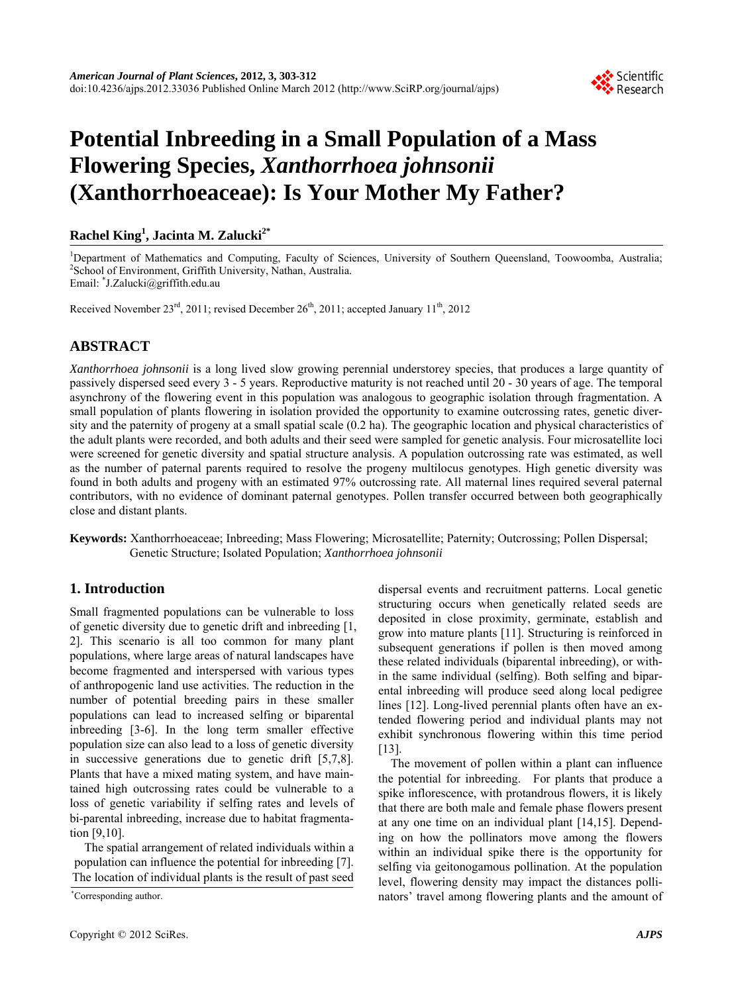

# **Potential Inbreeding in a Small Population of a Mass Flowering Species,** *Xanthorrhoea johnsonii* **(Xanthorrhoeaceae): Is Your Mother My Father?**

# **Rachel King<sup>1</sup> , Jacinta M. Zalucki2\***

<sup>1</sup>Department of Mathematics and Computing, Faculty of Sciences, University of Southern Queensland, Toowoomba, Australia; <sup>2</sup>Sebool of Environment Griffith University Nothern Australia; <sup>2</sup>School of Environment, Griffith University, Nathan, Australia. Email: \* J.Zalucki@griffith.edu.au

Received November  $23^{rd}$ , 2011; revised December  $26^{th}$ , 2011; accepted January  $11^{th}$ , 2012

# **ABSTRACT**

*Xanthorrhoea johnsonii* is a long lived slow growing perennial understorey species, that produces a large quantity of passively dispersed seed every 3 - 5 years. Reproductive maturity is not reached until 20 - 30 years of age. The temporal asynchrony of the flowering event in this population was analogous to geographic isolation through fragmentation. A small population of plants flowering in isolation provided the opportunity to examine outcrossing rates, genetic diversity and the paternity of progeny at a small spatial scale (0.2 ha). The geographic location and physical characteristics of the adult plants were recorded, and both adults and their seed were sampled for genetic analysis. Four microsatellite loci were screened for genetic diversity and spatial structure analysis. A population outcrossing rate was estimated, as well as the number of paternal parents required to resolve the progeny multilocus genotypes. High genetic diversity was found in both adults and progeny with an estimated 97% outcrossing rate. All maternal lines required several paternal contributors, with no evidence of dominant paternal genotypes. Pollen transfer occurred between both geographically close and distant plants.

**Keywords:** Xanthorrhoeaceae; Inbreeding; Mass Flowering; Microsatellite; Paternity; Outcrossing; Pollen Dispersal; Genetic Structure; Isolated Population; *Xanthorrhoea johnsonii*

# **1. Introduction**

Small fragmented populations can be vulnerable to loss of genetic diversity due to genetic drift and inbreeding [1, 2]. This scenario is all too common for many plant populations, where large areas of natural landscapes have become fragmented and interspersed with various types of anthropogenic land use activities. The reduction in the number of potential breeding pairs in these smaller populations can lead to increased selfing or biparental inbreeding [3-6]. In the long term smaller effective population size can also lead to a loss of genetic diversity in successive generations due to genetic drift [5,7,8]. Plants that have a mixed mating system, and have maintained high outcrossing rates could be vulnerable to a loss of genetic variability if selfing rates and levels of bi-parental inbreeding, increase due to habitat fragmentation [9,10].

The spatial arrangement of related individuals within a population can influence the potential for inbreeding [7]. The location of individual plants is the result of past seed

Corresponding author.

dispersal events and recruitment patterns. Local genetic structuring occurs when genetically related seeds are deposited in close proximity, germinate, establish and grow into mature plants [11]. Structuring is reinforced in subsequent generations if pollen is then moved among these related individuals (biparental inbreeding), or within the same individual (selfing). Both selfing and biparental inbreeding will produce seed along local pedigree lines [12]. Long-lived perennial plants often have an extended flowering period and individual plants may not exhibit synchronous flowering within this time period [13].

The movement of pollen within a plant can influence the potential for inbreeding. For plants that produce a spike inflorescence, with protandrous flowers, it is likely that there are both male and female phase flowers present at any one time on an individual plant [14,15]. Depending on how the pollinators move among the flowers within an individual spike there is the opportunity for selfing via geitonogamous pollination. At the population level, flowering density may impact the distances pollinators' travel among flowering plants and the amount of \*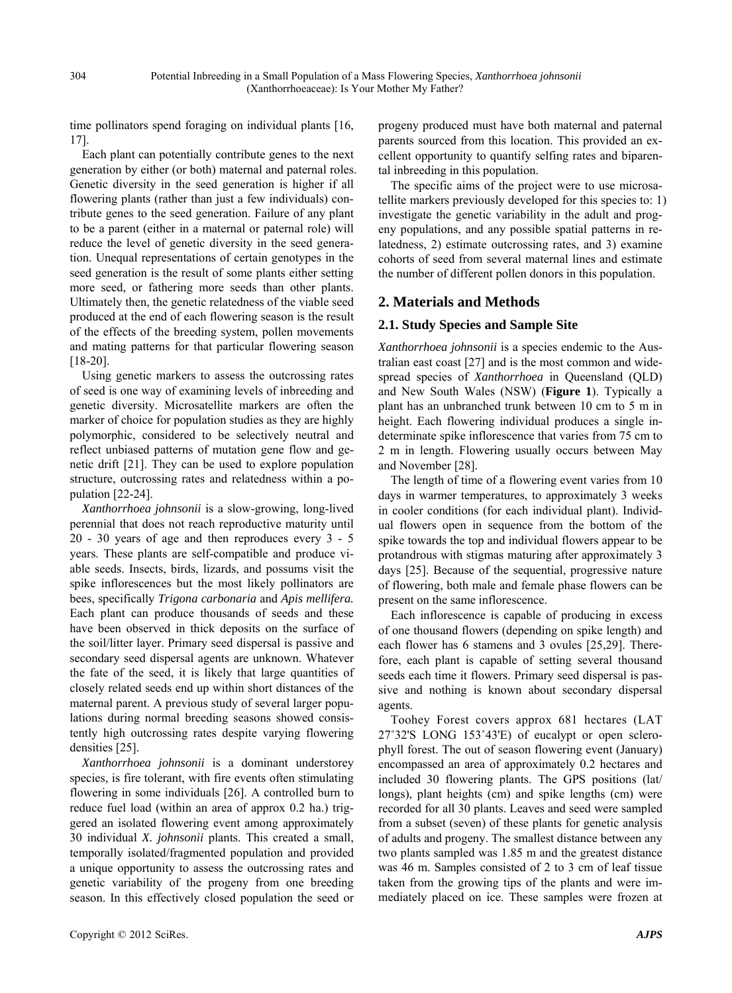time pollinators spend foraging on individual plants [16, 17].

Each plant can potentially contribute genes to the next generation by either (or both) maternal and paternal roles. Genetic diversity in the seed generation is higher if all flowering plants (rather than just a few individuals) contribute genes to the seed generation. Failure of any plant to be a parent (either in a maternal or paternal role) will reduce the level of genetic diversity in the seed generation. Unequal representations of certain genotypes in the seed generation is the result of some plants either setting more seed, or fathering more seeds than other plants. Ultimately then, the genetic relatedness of the viable seed produced at the end of each flowering season is the result of the effects of the breeding system, pollen movements and mating patterns for that particular flowering season [18-20].

Using genetic markers to assess the outcrossing rates of seed is one way of examining levels of inbreeding and genetic diversity. Microsatellite markers are often the marker of choice for population studies as they are highly polymorphic, considered to be selectively neutral and reflect unbiased patterns of mutation gene flow and genetic drift [21]. They can be used to explore population structure, outcrossing rates and relatedness within a population [22-24].

*Xanthorrhoea johnsonii* is a slow-growing, long-lived perennial that does not reach reproductive maturity until 20 - 30 years of age and then reproduces every 3 - 5 years. These plants are self-compatible and produce viable seeds. Insects, birds, lizards, and possums visit the spike inflorescences but the most likely pollinators are bees, specifically *Trigona carbonaria* and *Apis mellifera.* Each plant can produce thousands of seeds and these have been observed in thick deposits on the surface of the soil/litter layer. Primary seed dispersal is passive and secondary seed dispersal agents are unknown. Whatever the fate of the seed, it is likely that large quantities of closely related seeds end up within short distances of the maternal parent. A previous study of several larger populations during normal breeding seasons showed consistently high outcrossing rates despite varying flowering densities [25].

*Xanthorrhoea johnsonii* is a dominant understorey species, is fire tolerant, with fire events often stimulating flowering in some individuals [26]. A controlled burn to reduce fuel load (within an area of approx 0.2 ha.) triggered an isolated flowering event among approximately 30 individual *X. johnsonii* plants. This created a small, temporally isolated/fragmented population and provided a unique opportunity to assess the outcrossing rates and genetic variability of the progeny from one breeding season. In this effectively closed population the seed or progeny produced must have both maternal and paternal parents sourced from this location. This provided an excellent opportunity to quantify selfing rates and biparental inbreeding in this population.

The specific aims of the project were to use microsatellite markers previously developed for this species to: 1) investigate the genetic variability in the adult and progeny populations, and any possible spatial patterns in relatedness, 2) estimate outcrossing rates, and 3) examine cohorts of seed from several maternal lines and estimate the number of different pollen donors in this population.

# **2. Materials and Methods**

#### **2.1. Study Species and Sample Site**

*Xanthorrhoea johnsonii* is a species endemic to the Australian east coast [27] and is the most common and widespread species of *Xanthorrhoea* in Queensland (QLD) and New South Wales (NSW) (**Figure 1**). Typically a plant has an unbranched trunk between 10 cm to 5 m in height. Each flowering individual produces a single indeterminate spike inflorescence that varies from 75 cm to 2 m in length. Flowering usually occurs between May and November [28].

The length of time of a flowering event varies from 10 days in warmer temperatures, to approximately 3 weeks in cooler conditions (for each individual plant). Individual flowers open in sequence from the bottom of the spike towards the top and individual flowers appear to be protandrous with stigmas maturing after approximately 3 days [25]. Because of the sequential, progressive nature of flowering, both male and female phase flowers can be present on the same inflorescence.

Each inflorescence is capable of producing in excess of one thousand flowers (depending on spike length) and each flower has 6 stamens and 3 ovules [25,29]. Therefore, each plant is capable of setting several thousand seeds each time it flowers. Primary seed dispersal is passive and nothing is known about secondary dispersal agents.

Toohey Forest covers approx 681 hectares (LAT 27˚32'S LONG 153˚43'E) of eucalypt or open sclerophyll forest. The out of season flowering event (January) encompassed an area of approximately 0.2 hectares and included 30 flowering plants. The GPS positions (lat/ longs), plant heights (cm) and spike lengths (cm) were recorded for all 30 plants. Leaves and seed were sampled from a subset (seven) of these plants for genetic analysis of adults and progeny. The smallest distance between any two plants sampled was 1.85 m and the greatest distance was 46 m. Samples consisted of 2 to 3 cm of leaf tissue taken from the growing tips of the plants and were immediately placed on ice. These samples were frozen at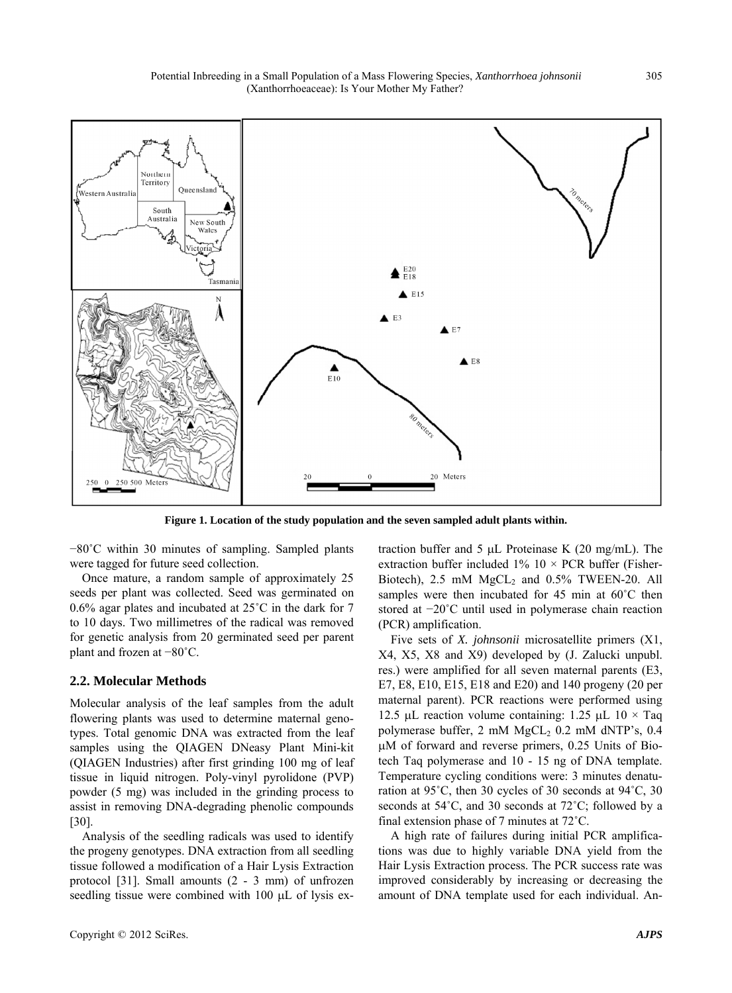

**Figure 1. Location of the study population and the seven sampled adult plants within.**

−80˚C within 30 minutes of sampling. Sampled plants were tagged for future seed collection.

Once mature, a random sample of approximately 25 seeds per plant was collected. Seed was germinated on 0.6% agar plates and incubated at 25˚C in the dark for 7 to 10 days. Two millimetres of the radical was removed for genetic analysis from 20 germinated seed per parent plant and frozen at −80˚C.

#### **2.2. Molecular Methods**

Molecular analysis of the leaf samples from the adult flowering plants was used to determine maternal genotypes. Total genomic DNA was extracted from the leaf samples using the QIAGEN DNeasy Plant Mini-kit (QIAGEN Industries) after first grinding 100 mg of leaf tissue in liquid nitrogen. Poly-vinyl pyrolidone (PVP) powder (5 mg) was included in the grinding process to assist in removing DNA-degrading phenolic compounds [30].

Analysis of the seedling radicals was used to identify the progeny genotypes. DNA extraction from all seedling tissue followed a modification of a Hair Lysis Extraction protocol [31]. Small amounts (2 - 3 mm) of unfrozen seedling tissue were combined with  $100 \mu L$  of lysis extraction buffer and 5  $\mu$ L Proteinase K (20 mg/mL). The extraction buffer included  $1\%$  10  $\times$  PCR buffer (Fisher-Biotech),  $2.5 \text{ mM } MgCL<sub>2</sub>$  and  $0.5\%$  TWEEN-20. All samples were then incubated for 45 min at 60°C then stored at −20˚C until used in polymerase chain reaction (PCR) amplification.

Five sets of *X. johnsonii* microsatellite primers (X1, X4, X5, X8 and X9) developed by (J. Zalucki unpubl. res.) were amplified for all seven maternal parents (E3, E7, E8, E10, E15, E18 and E20) and 140 progeny (20 per maternal parent). PCR reactions were performed using 12.5 µL reaction volume containing: 1.25 µL 10  $\times$  Taq polymerase buffer,  $2 \text{ mM } MgCL_2$  0.2 mM dNTP's, 0.4 M of forward and reverse primers, 0.25 Units of Biotech Taq polymerase and 10 - 15 ng of DNA template. Temperature cycling conditions were: 3 minutes denaturation at 95˚C, then 30 cycles of 30 seconds at 94˚C, 30 seconds at 54˚C, and 30 seconds at 72˚C; followed by a final extension phase of 7 minutes at 72˚C.

A high rate of failures during initial PCR amplifications was due to highly variable DNA yield from the Hair Lysis Extraction process. The PCR success rate was improved considerably by increasing or decreasing the amount of DNA template used for each individual. An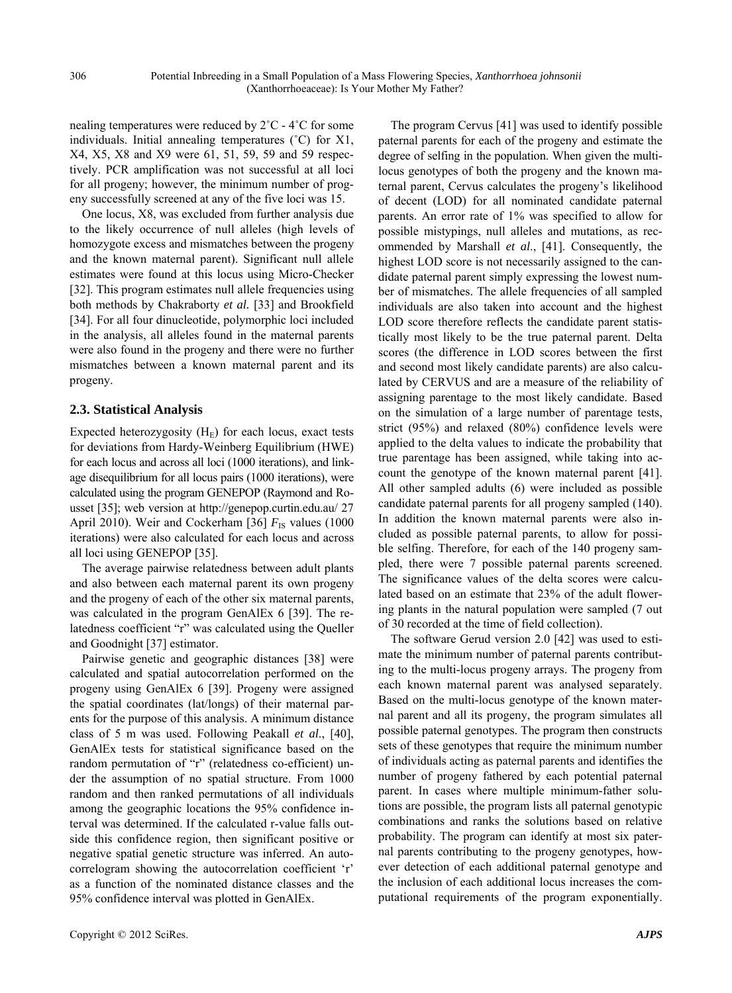nealing temperatures were reduced by 2˚C - 4˚C for some individuals. Initial annealing temperatures (˚C) for X1, X4, X5, X8 and X9 were 61, 51, 59, 59 and 59 respectively. PCR amplification was not successful at all loci for all progeny; however, the minimum number of progeny successfully screened at any of the five loci was 15.

One locus, X8, was excluded from further analysis due to the likely occurrence of null alleles (high levels of homozygote excess and mismatches between the progeny and the known maternal parent). Significant null allele estimates were found at this locus using Micro-Checker [32]. This program estimates null allele frequencies using both methods by Chakraborty *et al.* [33] and Brookfield [34]. For all four dinucleotide, polymorphic loci included in the analysis, all alleles found in the maternal parents were also found in the progeny and there were no further mismatches between a known maternal parent and its progeny.

#### **2.3. Statistical Analysis**

Expected heterozygosity  $(H_E)$  for each locus, exact tests for deviations from Hardy-Weinberg Equilibrium (HWE) for each locus and across all loci (1000 iterations), and linkage disequilibrium for all locus pairs (1000 iterations), were calculated using the program GENEPOP (Raymond and Rousset [35]; web version at http://genepop.curtin.edu.au/ 27 April 2010). Weir and Cockerham [36]  $F_{\text{IS}}$  values (1000) iterations) were also calculated for each locus and across all loci using GENEPOP [35].

The average pairwise relatedness between adult plants and also between each maternal parent its own progeny and the progeny of each of the other six maternal parents, was calculated in the program GenAlEx 6 [39]. The relatedness coefficient "r" was calculated using the Queller and Goodnight [37] estimator.

Pairwise genetic and geographic distances [38] were calculated and spatial autocorrelation performed on the progeny using GenAlEx 6 [39]. Progeny were assigned the spatial coordinates (lat/longs) of their maternal parents for the purpose of this analysis. A minimum distance class of 5 m was used. Following Peakall *et al*., [40], GenAlEx tests for statistical significance based on the random permutation of "r" (relatedness co-efficient) under the assumption of no spatial structure. From 1000 random and then ranked permutations of all individuals among the geographic locations the 95% confidence interval was determined. If the calculated r-value falls outside this confidence region, then significant positive or negative spatial genetic structure was inferred. An autocorrelogram showing the autocorrelation coefficient 'r' as a function of the nominated distance classes and the 95% confidence interval was plotted in GenAlEx.

The program Cervus [41] was used to identify possible paternal parents for each of the progeny and estimate the degree of selfing in the population. When given the multilocus genotypes of both the progeny and the known maternal parent, Cervus calculates the progeny's likelihood of decent (LOD) for all nominated candidate paternal parents. An error rate of 1% was specified to allow for possible mistypings, null alleles and mutations, as recommended by Marshall *et al*., [41]. Consequently, the highest LOD score is not necessarily assigned to the candidate paternal parent simply expressing the lowest number of mismatches. The allele frequencies of all sampled individuals are also taken into account and the highest LOD score therefore reflects the candidate parent statistically most likely to be the true paternal parent. Delta scores (the difference in LOD scores between the first and second most likely candidate parents) are also calculated by CERVUS and are a measure of the reliability of assigning parentage to the most likely candidate. Based on the simulation of a large number of parentage tests, strict (95%) and relaxed (80%) confidence levels were applied to the delta values to indicate the probability that true parentage has been assigned, while taking into account the genotype of the known maternal parent [41]. All other sampled adults (6) were included as possible candidate paternal parents for all progeny sampled (140). In addition the known maternal parents were also included as possible paternal parents, to allow for possible selfing. Therefore, for each of the 140 progeny sampled, there were 7 possible paternal parents screened. The significance values of the delta scores were calculated based on an estimate that 23% of the adult flowering plants in the natural population were sampled (7 out of 30 recorded at the time of field collection).

The software Gerud version 2.0 [42] was used to estimate the minimum number of paternal parents contributing to the multi-locus progeny arrays. The progeny from each known maternal parent was analysed separately. Based on the multi-locus genotype of the known maternal parent and all its progeny, the program simulates all possible paternal genotypes. The program then constructs sets of these genotypes that require the minimum number of individuals acting as paternal parents and identifies the number of progeny fathered by each potential paternal parent. In cases where multiple minimum-father solutions are possible, the program lists all paternal genotypic combinations and ranks the solutions based on relative probability. The program can identify at most six paternal parents contributing to the progeny genotypes, however detection of each additional paternal genotype and the inclusion of each additional locus increases the computational requirements of the program exponentially.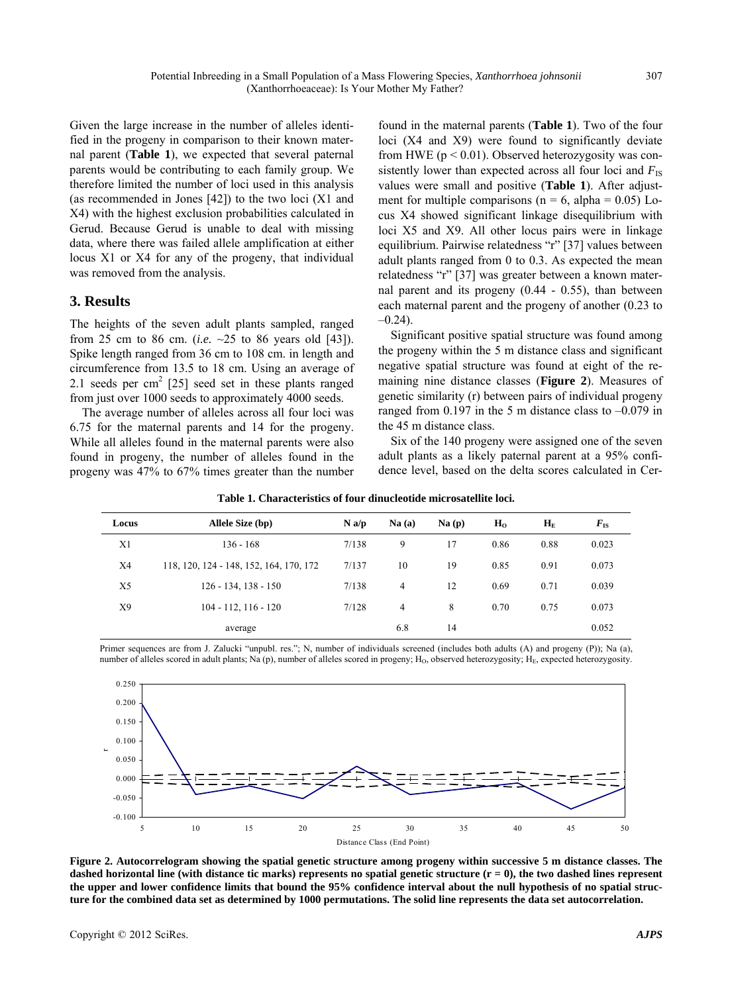Given the large increase in the number of alleles identified in the progeny in comparison to their known maternal parent (**Table 1**), we expected that several paternal parents would be contributing to each family group. We therefore limited the number of loci used in this analysis (as recommended in Jones [42]) to the two loci (X1 and X4) with the highest exclusion probabilities calculated in Gerud. Because Gerud is unable to deal with missing data, where there was failed allele amplification at either locus X1 or X4 for any of the progeny, that individual was removed from the analysis.

# **3. Results**

The heights of the seven adult plants sampled, ranged from 25 cm to 86 cm. (*i.e.* ~25 to 86 years old [43]). Spike length ranged from 36 cm to 108 cm. in length and circumference from 13.5 to 18 cm. Using an average of 2.1 seeds per  $\text{cm}^2$  [25] seed set in these plants ranged from just over 1000 seeds to approximately 4000 seeds.

The average number of alleles across all four loci was 6.75 for the maternal parents and 14 for the progeny. While all alleles found in the maternal parents were also found in progeny, the number of alleles found in the progeny was 47% to 67% times greater than the number

found in the maternal parents (**Table 1**). Two of the four loci (X4 and X9) were found to significantly deviate from HWE ( $p < 0.01$ ). Observed heterozygosity was consistently lower than expected across all four loci and  $F_{\text{IS}}$ values were small and positive (**Table 1**). After adjustment for multiple comparisons ( $n = 6$ , alpha = 0.05) Locus X4 showed significant linkage disequilibrium with loci X5 and X9. All other locus pairs were in linkage equilibrium. Pairwise relatedness "r" [37] values between adult plants ranged from 0 to 0.3. As expected the mean relatedness "r" [37] was greater between a known maternal parent and its progeny (0.44 - 0.55), than between each maternal parent and the progeny of another (0.23 to  $-0.24$ ).

Significant positive spatial structure was found among the progeny within the 5 m distance class and significant negative spatial structure was found at eight of the remaining nine distance classes (**Figure 2**). Measures of genetic similarity (r) between pairs of individual progeny ranged from  $0.197$  in the 5 m distance class to  $-0.079$  in the 45 m distance class.

Six of the 140 progeny were assigned one of the seven adult plants as a likely paternal parent at a 95% confidence level, based on the delta scores calculated in Cer-

| Locus          | Allele Size (bp)                        | N a/p | Na(a)          | Na(p) | H <sub>o</sub> | $\mathbf{H}_{\mathrm{E}}$ | $F_{\rm IS}$ |
|----------------|-----------------------------------------|-------|----------------|-------|----------------|---------------------------|--------------|
| X1             | 136 - 168                               | 7/138 | 9              | 17    | 0.86           | 0.88                      | 0.023        |
| X4             | 118, 120, 124 - 148, 152, 164, 170, 172 | 7/137 | 10             | 19    | 0.85           | 0.91                      | 0.073        |
| X <sub>5</sub> | $126 - 134$ , $138 - 150$               | 7/138 | $\overline{4}$ | 12    | 0.69           | 0.71                      | 0.039        |
| X9             | $104 - 112$ , $116 - 120$               | 7/128 | $\overline{4}$ | 8     | 0.70           | 0.75                      | 0.073        |
|                | average                                 |       | 6.8            | 14    |                |                           | 0.052        |

**Table 1. Characteristics of four dinucleotide microsatellite loci.**

Primer sequences are from J. Zalucki "unpubl. res."; N, number of individuals screened (includes both adults (A) and progeny (P)); Na (a), number of alleles scored in adult plants; Na (p), number of alleles scored in progeny; H<sub>O</sub>, observed heterozygosity; H<sub>E</sub>, expected heterozygosity.



**Figure 2. Autocorrelogram showing the spatial genetic structure among progeny within successive 5 m distance classes. The dashed horizontal line (with distance tic marks) represents no spatial genetic structure (r = 0), the two dashed lines represent the upper and lower confidence limits that bound the 95% confidence interval about the null hypothesis of no spatial structure for the combined data set as determined by 1000 permutations. The solid line represents the data set autocorrelation.**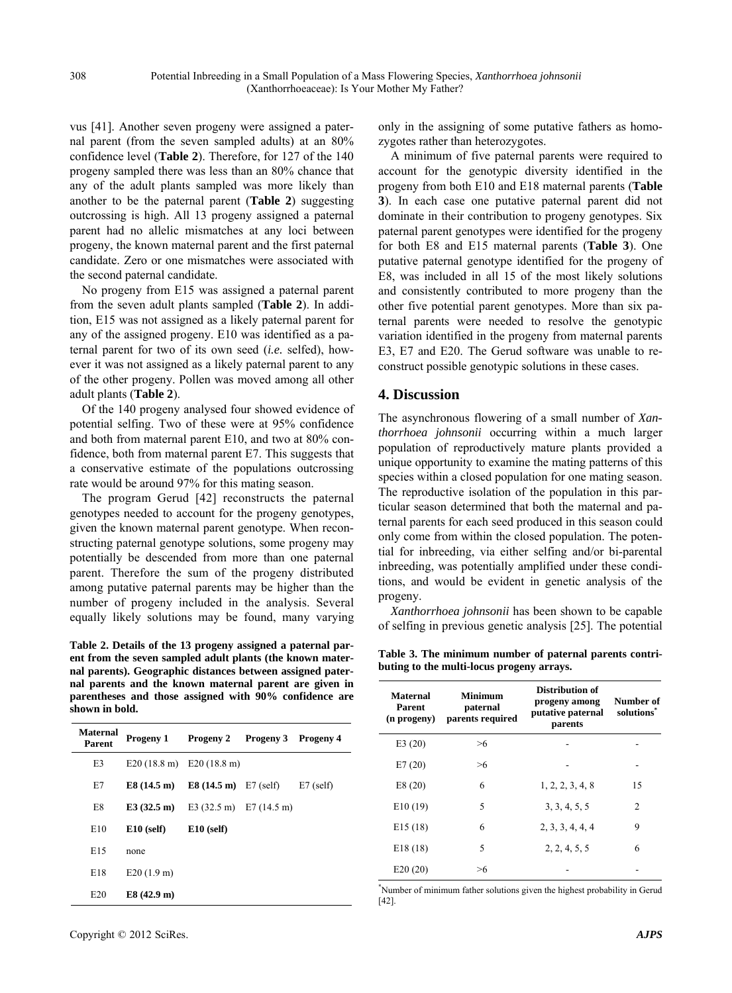vus [41]. Another seven progeny were assigned a paternal parent (from the seven sampled adults) at an 80% confidence level (**Table 2**). Therefore, for 127 of the 140 progeny sampled there was less than an 80% chance that any of the adult plants sampled was more likely than another to be the paternal parent (**Table 2**) suggesting outcrossing is high. All 13 progeny assigned a paternal parent had no allelic mismatches at any loci between progeny, the known maternal parent and the first paternal candidate. Zero or one mismatches were associated with the second paternal candidate.

No progeny from E15 was assigned a paternal parent from the seven adult plants sampled (**Table 2**). In addition, E15 was not assigned as a likely paternal parent for any of the assigned progeny. E10 was identified as a paternal parent for two of its own seed (*i.e.* selfed), however it was not assigned as a likely paternal parent to any of the other progeny. Pollen was moved among all other adult plants (**Table 2**).

Of the 140 progeny analysed four showed evidence of potential selfing. Two of these were at 95% confidence and both from maternal parent E10, and two at 80% confidence, both from maternal parent E7. This suggests that a conservative estimate of the populations outcrossing rate would be around 97% for this mating season.

The program Gerud [42] reconstructs the paternal genotypes needed to account for the progeny genotypes, given the known maternal parent genotype. When reconstructing paternal genotype solutions, some progeny may potentially be descended from more than one paternal parent. Therefore the sum of the progeny distributed among putative paternal parents may be higher than the number of progeny included in the analysis. Several equally likely solutions may be found, many varying

**Table 2. Details of the 13 progeny assigned a paternal parent from the seven sampled adult plants (the known maternal parents). Geographic distances between assigned paternal parents and the known maternal parent are given in parentheses and those assigned with 90% confidence are shown in bold.**

| <b>Maternal</b><br>Parent | Progeny 1                                   | Progeny 2                                   | <b>Progeny 3</b> Progeny 4 |             |
|---------------------------|---------------------------------------------|---------------------------------------------|----------------------------|-------------|
| E3                        | $E20(18.8 \text{ m})$ $E20(18.8 \text{ m})$ |                                             |                            |             |
| E7                        | $E8(14.5 \text{ m})$                        | <b>E8</b> $(14.5 \text{ m})$ E7 $(self)$    |                            | $E7$ (self) |
| E8                        | E3(32.5 m)                                  | E3 $(32.5 \text{ m})$ E7 $(14.5 \text{ m})$ |                            |             |
| E10                       | $E10$ (self)                                | $E10$ (self)                                |                            |             |
| E15                       | none                                        |                                             |                            |             |
| E18                       | E20(1.9 m)                                  |                                             |                            |             |
| E20                       | E8 (42.9 m)                                 |                                             |                            |             |

only in the assigning of some putative fathers as homozygotes rather than heterozygotes.

A minimum of five paternal parents were required to account for the genotypic diversity identified in the progeny from both E10 and E18 maternal parents (**Table 3**). In each case one putative paternal parent did not dominate in their contribution to progeny genotypes. Six paternal parent genotypes were identified for the progeny for both E8 and E15 maternal parents (**Table 3**). One putative paternal genotype identified for the progeny of E8, was included in all 15 of the most likely solutions and consistently contributed to more progeny than the other five potential parent genotypes. More than six paternal parents were needed to resolve the genotypic variation identified in the progeny from maternal parents E3, E7 and E20. The Gerud software was unable to reconstruct possible genotypic solutions in these cases.

# **4. Discussion**

The asynchronous flowering of a small number of *Xanthorrhoea johnsonii* occurring within a much larger population of reproductively mature plants provided a unique opportunity to examine the mating patterns of this species within a closed population for one mating season. The reproductive isolation of the population in this particular season determined that both the maternal and paternal parents for each seed produced in this season could only come from within the closed population. The potential for inbreeding, via either selfing and/or bi-parental inbreeding, was potentially amplified under these conditions, and would be evident in genetic analysis of the progeny.

*Xanthorrhoea johnsonii* has been shown to be capable of selfing in previous genetic analysis [25]. The potential

**Table 3. The minimum number of paternal parents contributing to the multi-locus progeny arrays.**

| <b>Maternal</b><br>Parent<br>(n progeny) | <b>Minimum</b><br>paternal<br>parents required | Distribution of<br>progeny among<br>putative paternal<br>parents | Number of<br>solutions <sup>*</sup> |
|------------------------------------------|------------------------------------------------|------------------------------------------------------------------|-------------------------------------|
| E3(20)                                   | >6                                             |                                                                  |                                     |
| E7(20)                                   | >6                                             |                                                                  |                                     |
| E8(20)                                   | 6                                              | 1, 2, 2, 3, 4, 8                                                 | 15                                  |
| E10(19)                                  | 5                                              | 3, 3, 4, 5, 5                                                    | $\overline{c}$                      |
| E15(18)                                  | 6                                              | 2, 3, 3, 4, 4, 4                                                 | 9                                   |
| E18(18)                                  | 5                                              | 2, 2, 4, 5, 5                                                    | 6                                   |
| E20(20)                                  | >6                                             |                                                                  |                                     |

\* Number of minimum father solutions given the highest probability in Gerud [42].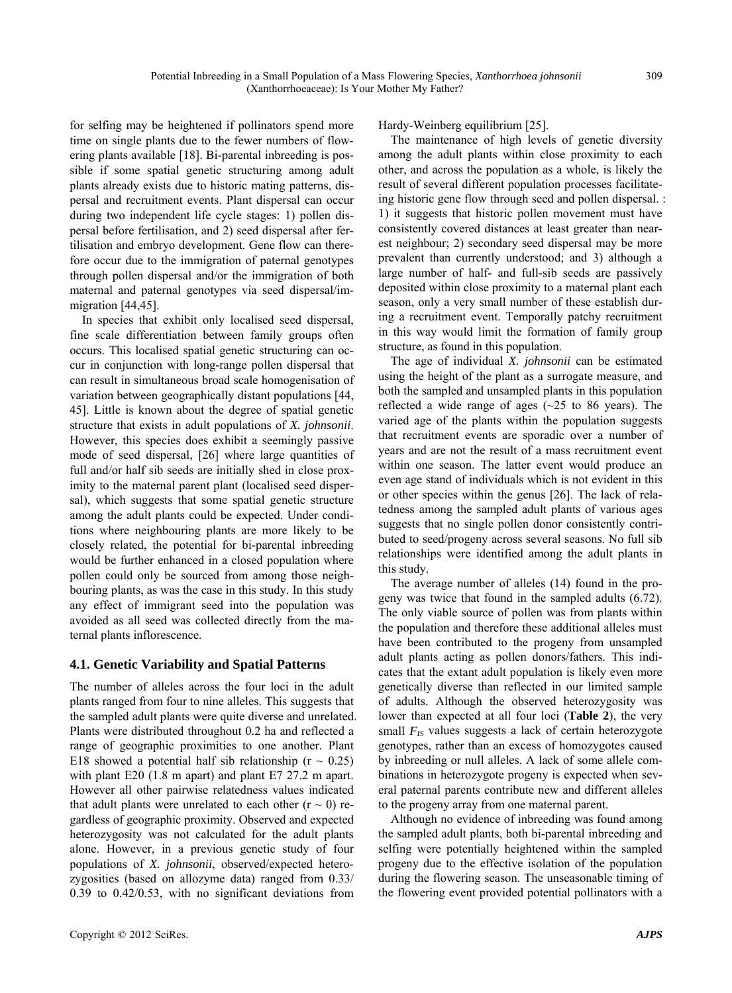for selfing may be heightened if pollinators spend more time on single plants due to the fewer numbers of flowering plants available [18]. Bi-parental inbreeding is possible if some spatial genetic structuring among adult plants already exists due to historic mating patterns, dispersal and recruitment events. Plant dispersal can occur during two independent life cycle stages: 1) pollen dispersal before fertilisation, and 2) seed dispersal after fertilisation and embryo development. Gene flow can therefore occur due to the immigration of paternal genotypes through pollen dispersal and/or the immigration of both maternal and paternal genotypes via seed dispersal/immigration [44,45].

In species that exhibit only localised seed dispersal, fine scale differentiation between family groups often occurs. This localised spatial genetic structuring can occur in conjunction with long-range pollen dispersal that can result in simultaneous broad scale homogenisation of variation between geographically distant populations [44, 45]. Little is known about the degree of spatial genetic structure that exists in adult populations of *X. johnsonii*. However, this species does exhibit a seemingly passive mode of seed dispersal, [26] where large quantities of full and/or half sib seeds are initially shed in close proximity to the maternal parent plant (localised seed dispersal), which suggests that some spatial genetic structure among the adult plants could be expected. Under conditions where neighbouring plants are more likely to be closely related, the potential for bi-parental inbreeding would be further enhanced in a closed population where pollen could only be sourced from among those neighbouring plants, as was the case in this study. In this study any effect of immigrant seed into the population was avoided as all seed was collected directly from the maternal plants inflorescence.

# **4.1. Genetic Variability and Spatial Patterns**

The number of alleles across the four loci in the adult plants ranged from four to nine alleles. This suggests that the sampled adult plants were quite diverse and unrelated. Plants were distributed throughout 0.2 ha and reflected a range of geographic proximities to one another. Plant E18 showed a potential half sib relationship ( $r \sim 0.25$ ) with plant E20 (1.8 m apart) and plant E7 27.2 m apart. However all other pairwise relatedness values indicated that adult plants were unrelated to each other  $(r \sim 0)$  regardless of geographic proximity. Observed and expected heterozygosity was not calculated for the adult plants alone. However, in a previous genetic study of four populations of *X. johnsonii*, observed/expected heterozygosities (based on allozyme data) ranged from 0.33/ 0.39 to 0.42/0.53, with no significant deviations from

Hardy-Weinberg equilibrium [25].

The maintenance of high levels of genetic diversity among the adult plants within close proximity to each other, and across the population as a whole, is likely the result of several different population processes facilitateing historic gene flow through seed and pollen dispersal. : 1) it suggests that historic pollen movement must have consistently covered distances at least greater than nearest neighbour; 2) secondary seed dispersal may be more prevalent than currently understood; and 3) although a large number of half- and full-sib seeds are passively deposited within close proximity to a maternal plant each season, only a very small number of these establish during a recruitment event. Temporally patchy recruitment in this way would limit the formation of family group structure, as found in this population.

The age of individual *X. johnsonii* can be estimated using the height of the plant as a surrogate measure, and both the sampled and unsampled plants in this population reflected a wide range of ages  $(\sim 25$  to 86 years). The varied age of the plants within the population suggests that recruitment events are sporadic over a number of years and are not the result of a mass recruitment event within one season. The latter event would produce an even age stand of individuals which is not evident in this or other species within the genus [26]. The lack of relatedness among the sampled adult plants of various ages suggests that no single pollen donor consistently contributed to seed/progeny across several seasons. No full sib relationships were identified among the adult plants in this study.

The average number of alleles (14) found in the progeny was twice that found in the sampled adults (6.72). The only viable source of pollen was from plants within the population and therefore these additional alleles must have been contributed to the progeny from unsampled adult plants acting as pollen donors/fathers. This indicates that the extant adult population is likely even more genetically diverse than reflected in our limited sample of adults. Although the observed heterozygosity was lower than expected at all four loci (**Table 2**), the very small  $F_{IS}$  values suggests a lack of certain heterozygote genotypes, rather than an excess of homozygotes caused by inbreeding or null alleles. A lack of some allele combinations in heterozygote progeny is expected when several paternal parents contribute new and different alleles to the progeny array from one maternal parent.

Although no evidence of inbreeding was found among the sampled adult plants, both bi-parental inbreeding and selfing were potentially heightened within the sampled progeny due to the effective isolation of the population during the flowering season. The unseasonable timing of the flowering event provided potential pollinators with a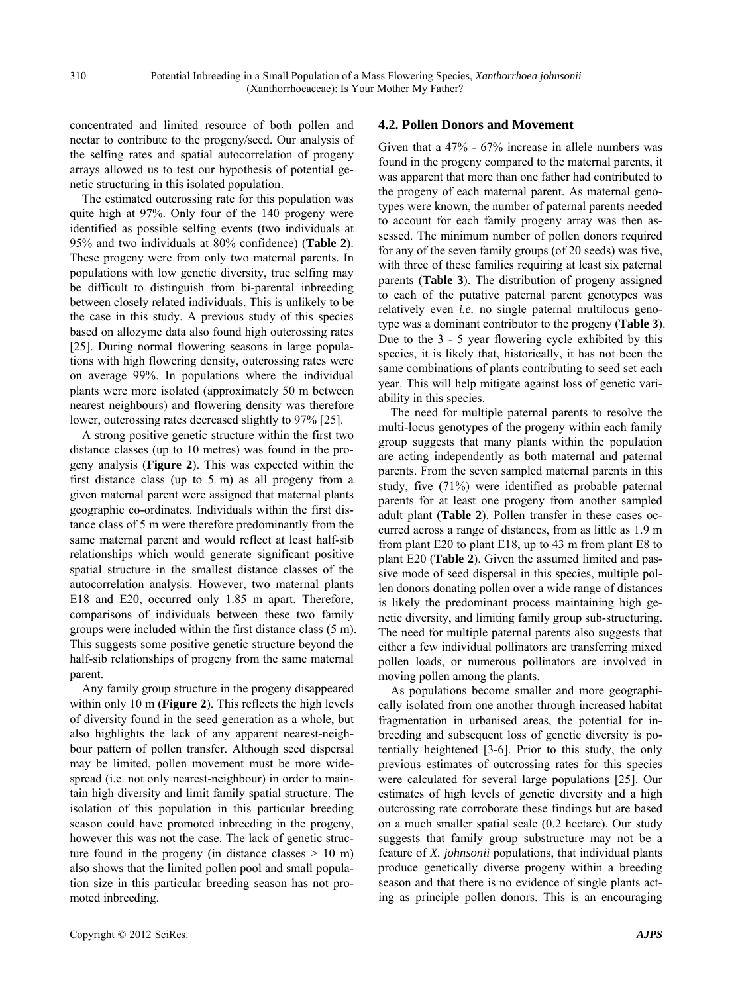concentrated and limited resource of both pollen and nectar to contribute to the progeny/seed. Our analysis of the selfing rates and spatial autocorrelation of progeny arrays allowed us to test our hypothesis of potential genetic structuring in this isolated population.

The estimated outcrossing rate for this population was quite high at 97%. Only four of the 140 progeny were identified as possible selfing events (two individuals at 95% and two individuals at 80% confidence) (**Table 2**). These progeny were from only two maternal parents. In populations with low genetic diversity, true selfing may be difficult to distinguish from bi-parental inbreeding between closely related individuals. This is unlikely to be the case in this study. A previous study of this species based on allozyme data also found high outcrossing rates [25]. During normal flowering seasons in large populations with high flowering density, outcrossing rates were on average 99%. In populations where the individual plants were more isolated (approximately 50 m between nearest neighbours) and flowering density was therefore lower, outcrossing rates decreased slightly to 97% [25].

A strong positive genetic structure within the first two distance classes (up to 10 metres) was found in the progeny analysis (**Figure 2**). This was expected within the first distance class (up to 5 m) as all progeny from a given maternal parent were assigned that maternal plants geographic co-ordinates. Individuals within the first distance class of 5 m were therefore predominantly from the same maternal parent and would reflect at least half-sib relationships which would generate significant positive spatial structure in the smallest distance classes of the autocorrelation analysis. However, two maternal plants E18 and E20, occurred only 1.85 m apart. Therefore, comparisons of individuals between these two family groups were included within the first distance class (5 m). This suggests some positive genetic structure beyond the half-sib relationships of progeny from the same maternal parent.

Any family group structure in the progeny disappeared within only 10 m (**Figure 2**). This reflects the high levels of diversity found in the seed generation as a whole, but also highlights the lack of any apparent nearest-neighbour pattern of pollen transfer. Although seed dispersal may be limited, pollen movement must be more widespread (i.e. not only nearest-neighbour) in order to maintain high diversity and limit family spatial structure. The isolation of this population in this particular breeding season could have promoted inbreeding in the progeny, however this was not the case. The lack of genetic structure found in the progeny (in distance classes  $> 10$  m) also shows that the limited pollen pool and small population size in this particular breeding season has not promoted inbreeding.

#### **4.2. Pollen Donors and Movement**

Given that a 47% - 67% increase in allele numbers was found in the progeny compared to the maternal parents, it was apparent that more than one father had contributed to the progeny of each maternal parent. As maternal genotypes were known, the number of paternal parents needed to account for each family progeny array was then assessed. The minimum number of pollen donors required for any of the seven family groups (of 20 seeds) was five, with three of these families requiring at least six paternal parents (**Table 3**). The distribution of progeny assigned to each of the putative paternal parent genotypes was relatively even *i.e.* no single paternal multilocus genotype was a dominant contributor to the progeny (**Table 3**). Due to the 3 - 5 year flowering cycle exhibited by this species, it is likely that, historically, it has not been the same combinations of plants contributing to seed set each year. This will help mitigate against loss of genetic variability in this species.

The need for multiple paternal parents to resolve the multi-locus genotypes of the progeny within each family group suggests that many plants within the population are acting independently as both maternal and paternal parents. From the seven sampled maternal parents in this study, five (71%) were identified as probable paternal parents for at least one progeny from another sampled adult plant (**Table 2**). Pollen transfer in these cases occurred across a range of distances, from as little as 1.9 m from plant E20 to plant E18, up to 43 m from plant E8 to plant E20 (**Table 2**). Given the assumed limited and passive mode of seed dispersal in this species, multiple pollen donors donating pollen over a wide range of distances is likely the predominant process maintaining high genetic diversity, and limiting family group sub-structuring. The need for multiple paternal parents also suggests that either a few individual pollinators are transferring mixed pollen loads, or numerous pollinators are involved in moving pollen among the plants.

As populations become smaller and more geographically isolated from one another through increased habitat fragmentation in urbanised areas, the potential for inbreeding and subsequent loss of genetic diversity is potentially heightened [3-6]. Prior to this study, the only previous estimates of outcrossing rates for this species were calculated for several large populations [25]. Our estimates of high levels of genetic diversity and a high outcrossing rate corroborate these findings but are based on a much smaller spatial scale (0.2 hectare). Our study suggests that family group substructure may not be a feature of *X. johnsonii* populations, that individual plants produce genetically diverse progeny within a breeding season and that there is no evidence of single plants acting as principle pollen donors. This is an encouraging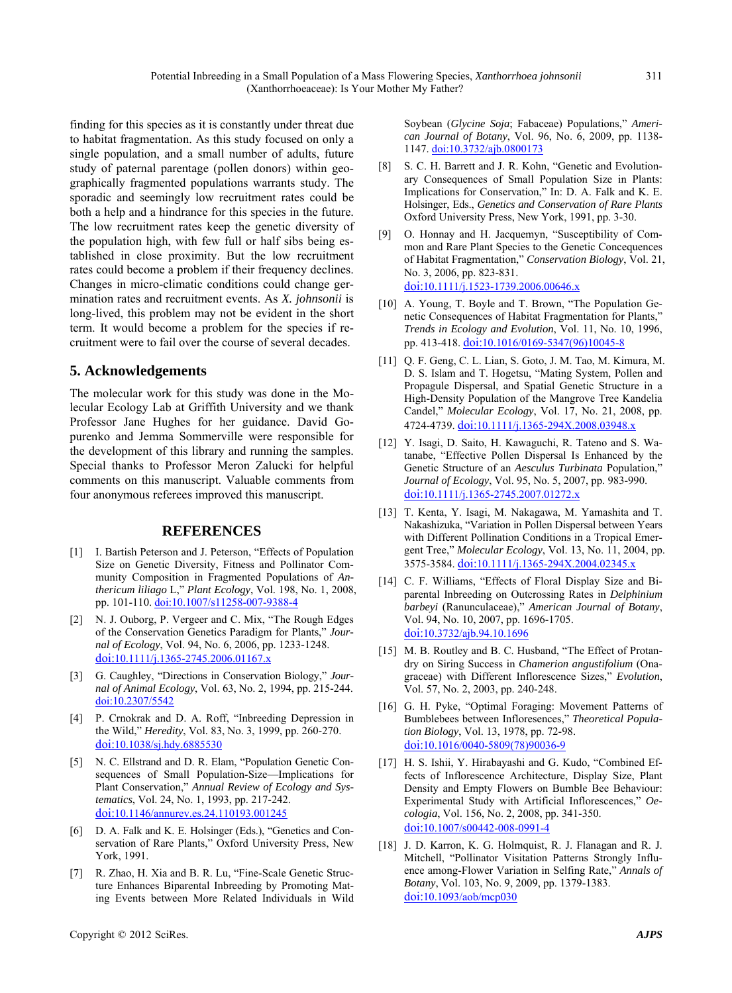finding for this species as it is constantly under threat due to habitat fragmentation. As this study focused on only a single population, and a small number of adults, future study of paternal parentage (pollen donors) within geographically fragmented populations warrants study. The sporadic and seemingly low recruitment rates could be both a help and a hindrance for this species in the future. The low recruitment rates keep the genetic diversity of the population high, with few full or half sibs being established in close proximity. But the low recruitment rates could become a problem if their frequency declines. Changes in micro-climatic conditions could change germination rates and recruitment events. As *X. johnsonii* is long-lived, this problem may not be evident in the short term. It would become a problem for the species if recruitment were to fail over the course of several decades.

### **5. Acknowledgements**

The molecular work for this study was done in the Molecular Ecology Lab at Griffith University and we thank Professor Jane Hughes for her guidance. David Gopurenko and Jemma Sommerville were responsible for the development of this library and running the samples. Special thanks to Professor Meron Zalucki for helpful comments on this manuscript. Valuable comments from four anonymous referees improved this manuscript.

#### **REFERENCES**

- [1] I. Bartish Peterson and J. Peterson, "Effects of Population Size on Genetic Diversity, Fitness and Pollinator Community Composition in Fragmented Populations of *Anthericum liliago* L," *Plant Ecology*, Vol. 198, No. 1, 2008, pp. 101-110. [doi:10.1007/s11258-007-9388-4](http://dx.doi.org/10.1007/s11258-007-9388-4)
- [2] N. J. Ouborg, P. Vergeer and C. Mix, "The Rough Edges of the Conservation Genetics Paradigm for Plants," *Journal of Ecology*, Vol. 94, No. 6, 2006, pp. 1233-1248. [doi:10.1111/j.1365-2745.2006.01167.x](http://dx.doi.org/10.1111/j.1365-2745.2006.01167.x)
- [3] G. Caughley, "Directions in Conservation Biology," *Journal of Animal Ecology*, Vol. 63, No. 2, 1994, pp. 215-244. [doi:10.2307/5542](http://dx.doi.org/10.2307/5542)
- [4] P. Crnokrak and D. A. Roff, "Inbreeding Depression in the Wild," *Heredity*, Vol. 83, No. 3, 1999, pp. 260-270. [doi:10.1038/sj.hdy.6885530](http://dx.doi.org/10.1038/sj.hdy.6885530)
- [5] N. C. Ellstrand and D. R. Elam, "Population Genetic Consequences of Small Population-Size—Implications for Plant Conservation," *Annual Review of Ecology and Systematics*, Vol. 24, No. 1, 1993, pp. 217-242. [doi:10.1146/annurev.es.24.110193.001245](http://dx.doi.org/10.1146/annurev.es.24.110193.001245)
- [6] D. A. Falk and K. E. Holsinger (Eds.), "Genetics and Conservation of Rare Plants," Oxford University Press, New York, 1991.
- [7] R. Zhao, H. Xia and B. R. Lu, "Fine-Scale Genetic Structure Enhances Biparental Inbreeding by Promoting Mating Events between More Related Individuals in Wild

Soybean (*Glycine Soja*; Fabaceae) Populations," *American Journal of Botany*, Vol. 96, No. 6, 2009, pp. 1138- 1147. [doi:10.3732/ajb.0800173](http://dx.doi.org/10.3732/ajb.0800173)

- [8] S. C. H. Barrett and J. R. Kohn, "Genetic and Evolutionary Consequences of Small Population Size in Plants: Implications for Conservation," In: D. A. Falk and K. E. Holsinger, Eds., *Genetics and Conservation of Rare Plants*  Oxford University Press, New York, 1991, pp. 3-30.
- [9] O. Honnay and H. Jacquemyn, "Susceptibility of Common and Rare Plant Species to the Genetic Concequences of Habitat Fragmentation," *Conservation Biology*, Vol. 21, No. 3, 2006, pp. 823-831. [doi:10.1111/j.1523-1739.2006.00646.x](http://dx.doi.org/10.1111/j.1523-1739.2006.00646.x)
- [10] A. Young, T. Boyle and T. Brown, "The Population Genetic Consequences of Habitat Fragmentation for Plants," *Trends in Ecology and Evolution*, Vol. 11, No. 10, 1996, pp. 413-418. [doi:10.1016/0169-5347\(96\)10045-8](http://dx.doi.org/10.1016/0169-5347(96)10045-8)
- [11] Q. F. Geng, C. L. Lian, S. Goto, J. M. Tao, M. Kimura, M. D. S. Islam and T. Hogetsu, "Mating System, Pollen and Propagule Dispersal, and Spatial Genetic Structure in a High-Density Population of the Mangrove Tree Kandelia Candel," *Molecular Ecology*, Vol. 17, No. 21, 2008, pp. 4724-4739. [doi:10.1111/j.1365-294X.2008.03948.x](http://dx.doi.org/10.1111/j.1365-294X.2008.03948.x)
- [12] Y. Isagi, D. Saito, H. Kawaguchi, R. Tateno and S. Watanabe, "Effective Pollen Dispersal Is Enhanced by the Genetic Structure of an *Aesculus Turbinata* Population," *Journal of Ecology*, Vol. 95, No. 5, 2007, pp. 983-990. [doi:10.1111/j.1365-2745.2007.01272.x](http://dx.doi.org/10.1111/j.1365-2745.2007.01272.x)
- [13] T. Kenta, Y. Isagi, M. Nakagawa, M. Yamashita and T. Nakashizuka, "Variation in Pollen Dispersal between Years with Different Pollination Conditions in a Tropical Emergent Tree," *Molecular Ecology*, Vol. 13, No. 11, 2004, pp. 3575-3584. [doi:10.1111/j.1365-294X.2004.02345.x](http://dx.doi.org/10.1111/j.1365-294X.2004.02345.x)
- [14] C. F. Williams, "Effects of Floral Display Size and Biparental Inbreeding on Outcrossing Rates in *Delphinium barbeyi* (Ranunculaceae)," *American Journal of Botany*, Vol. 94, No. 10, 2007, pp. 1696-1705. [doi:10.3732/ajb.94.10.1696](http://dx.doi.org/10.3732/ajb.94.10.1696)
- [15] M. B. Routley and B. C. Husband, "The Effect of Protandry on Siring Success in *Chamerion angustifolium* (Onagraceae) with Different Inflorescence Sizes," *Evolution*, Vol. 57, No. 2, 2003, pp. 240-248.
- [16] G. H. Pyke, "Optimal Foraging: Movement Patterns of Bumblebees between Infloresences," *Theoretical Population Biology*, Vol. 13, 1978, pp. 72-98. [doi:10.1016/0040-5809\(78\)90036-9](http://dx.doi.org/10.1016/0040-5809(78)90036-9)
- [17] H. S. Ishii, Y. Hirabayashi and G. Kudo, "Combined Effects of Inflorescence Architecture, Display Size, Plant Density and Empty Flowers on Bumble Bee Behaviour: Experimental Study with Artificial Inflorescences," *Oecologia*, Vol. 156, No. 2, 2008, pp. 341-350. [doi:10.1007/s00442-008-0991-4](http://dx.doi.org/10.1007/s00442-008-0991-4)
- [18] J. D. Karron, K. G. Holmquist, R. J. Flanagan and R. J. Mitchell, "Pollinator Visitation Patterns Strongly Influence among-Flower Variation in Selfing Rate," *Annals of Botany*, Vol. 103, No. 9, 2009, pp. 1379-1383. [doi:10.1093/aob/mcp030](http://dx.doi.org/10.1093/aob/mcp030)